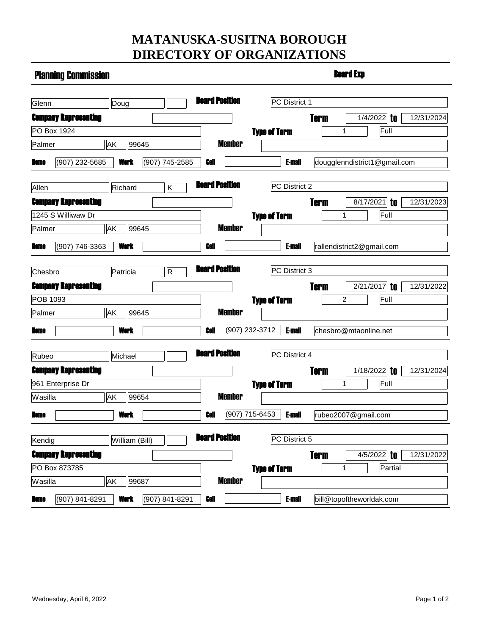## **MATANUSKA-SUSITNA BOROUGH DIRECTORY OF ORGANIZATIONS**

| <b>Planning Commission</b>  |                                                 |                       | <b>Board Exp</b>                |                                                       |  |  |  |
|-----------------------------|-------------------------------------------------|-----------------------|---------------------------------|-------------------------------------------------------|--|--|--|
| Glenn                       | Doug                                            | <b>Board Position</b> | PC District 1                   |                                                       |  |  |  |
| <b>Company Representing</b> |                                                 |                       |                                 | <b>Term</b><br>$\overline{1/4}/2022$ to<br>12/31/2024 |  |  |  |
| PO Box 1924                 |                                                 |                       | <b>Type of Term</b>             | Full<br>1                                             |  |  |  |
| Palmer                      | AK<br>99645                                     | <b>Member</b>         |                                 |                                                       |  |  |  |
| Home                        | (907) 232-5685<br><b>Work</b><br>(907) 745-2585 | Cell                  | <b>E-mail</b>                   | dougglenndistrict1@gmail.com                          |  |  |  |
| Allen                       | Richard<br>K                                    | <b>Board Position</b> | PC District 2                   |                                                       |  |  |  |
| <b>Company Representing</b> |                                                 |                       |                                 | <b>Term</b><br>to<br>12/31/2023<br>8/17/2021          |  |  |  |
| 1245 S Williwaw Dr          |                                                 |                       | <b>Type of Term</b>             | Full<br>1                                             |  |  |  |
| Palmer                      | AK<br>99645                                     | <b>Member</b>         |                                 |                                                       |  |  |  |
| Home                        | (907) 746-3363<br>Work                          | Coll                  | <b>E-mail</b>                   | rallendistrict2@gmail.com                             |  |  |  |
|                             |                                                 |                       |                                 |                                                       |  |  |  |
| Chesbro                     | Patricia<br>R                                   | <b>Board Position</b> | PC District 3                   |                                                       |  |  |  |
| <b>Company Representing</b> |                                                 |                       |                                 | <b>Term</b><br>2/21/2017<br>to<br>12/31/2022          |  |  |  |
| POB 1093                    |                                                 |                       | <b>Type of Term</b>             | Full<br>$\overline{2}$                                |  |  |  |
| Palmer                      | AK<br>99645                                     | <b>Member</b>         |                                 |                                                       |  |  |  |
| Home                        | Work                                            | Cell                  | (907) 232-3712<br><b>E-mail</b> | chesbro@mtaonline.net                                 |  |  |  |
| Rubeo                       | Michael                                         | <b>Board Position</b> | PC District 4                   |                                                       |  |  |  |
| <b>Company Representing</b> |                                                 |                       |                                 | <b>Term</b><br>1/18/2022<br>to<br>12/31/2024          |  |  |  |
| 961 Enterprise Dr           |                                                 |                       | <b>Type of Term</b>             | Full<br>1                                             |  |  |  |
| Wasilla                     | <b>AK</b><br>99654                              | <b>Member</b>         |                                 |                                                       |  |  |  |
| Home                        | Work                                            | Cell                  | (907) 715-6453<br><b>F-mail</b> | rubeo2007@gmail.com                                   |  |  |  |
| Kendig                      | William (Bill)                                  | <b>Board Position</b> | PC District 5                   |                                                       |  |  |  |
| <b>Company Representing</b> |                                                 |                       |                                 | <b>Term</b><br>$4/5/2022$ to<br>12/31/2022            |  |  |  |
| PO Box 873785               |                                                 |                       | <b>Type of Term</b>             | Partial<br>1                                          |  |  |  |
| Wasilla                     | AK<br>99687                                     | <b>Member</b>         |                                 |                                                       |  |  |  |
| Home                        | (907) 841-8291<br>(907) 841-8291<br><b>Work</b> | Cell                  | <b>E-mail</b>                   | bill@topoftheworldak.com                              |  |  |  |